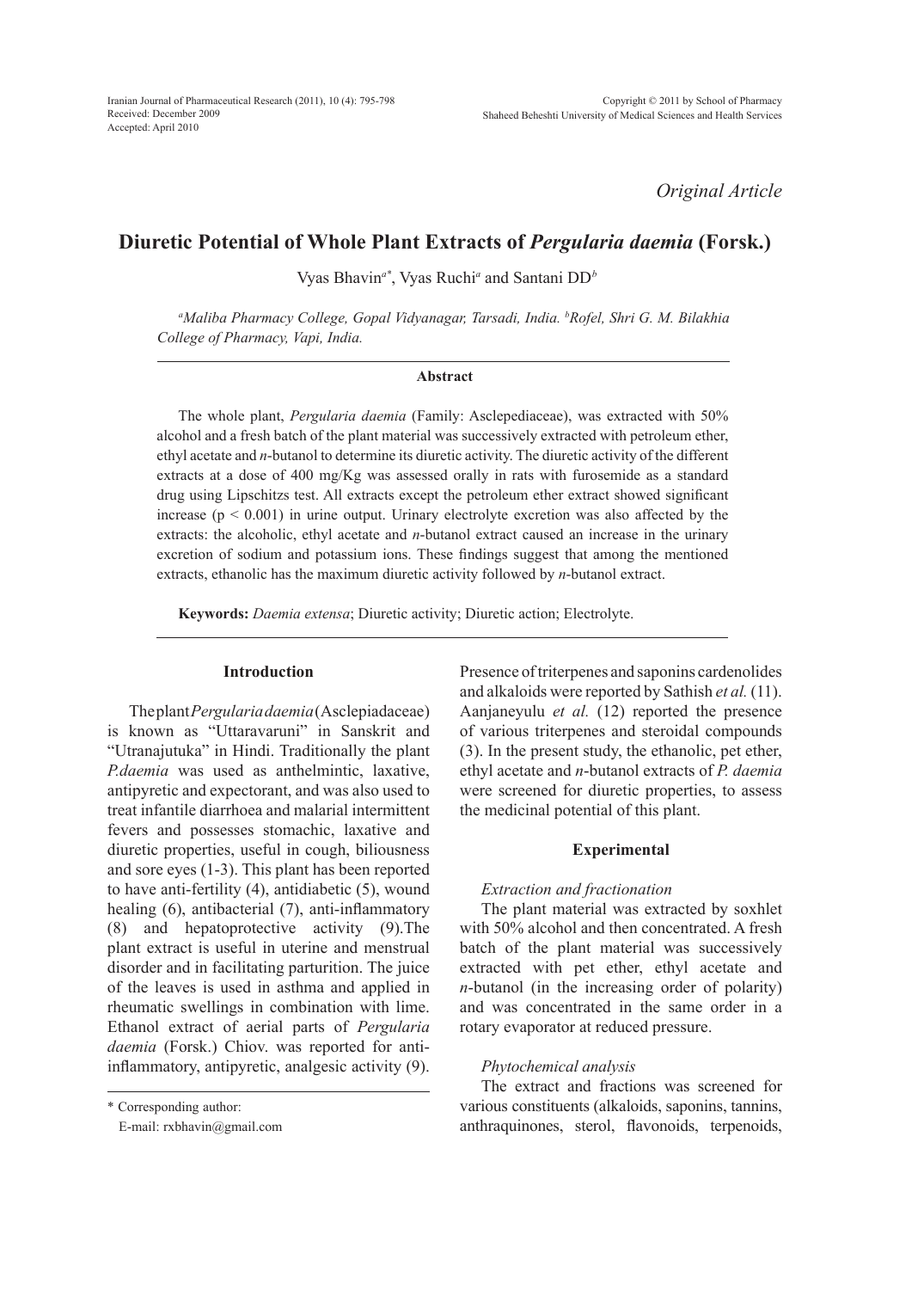*Original Article*

# **Diuretic Potential of Whole Plant Extracts of** *Pergularia daemia* **(Forsk.)**

Vyas Bhavin*a\**, Vyas Ruchi*<sup>a</sup>* and Santani DD*<sup>b</sup>*

*a Maliba Pharmacy College, Gopal Vidyanagar, Tarsadi, India. b Rofel, Shri G. M. Bilakhia College of Pharmacy, Vapi, India.*

## **Abstract**

The whole plant, *Pergularia daemia* (Family: Asclepediaceae), was extracted with 50% alcohol and a fresh batch of the plant material was successively extracted with petroleum ether, ethyl acetate and *n*-butanol to determine its diuretic activity. The diuretic activity of the different extracts at a dose of 400 mg/Kg was assessed orally in rats with furosemide as a standard drug using Lipschitzs test. All extracts except the petroleum ether extract showed significant increase  $(p < 0.001)$  in urine output. Urinary electrolyte excretion was also affected by the extracts: the alcoholic, ethyl acetate and *n*-butanol extract caused an increase in the urinary excretion of sodium and potassium ions. These findings suggest that among the mentioned extracts, ethanolic has the maximum diuretic activity followed by *n*-butanol extract.

**Keywords:** *Daemia extensa*; Diuretic activity; Diuretic action; Electrolyte.

# **Introduction**

The plant *Pergularia daemia* (Asclepiadaceae) is known as "Uttaravaruni" in Sanskrit and "Utranajutuka" in Hindi. Traditionally the plant *P.daemia* was used as anthelmintic, laxative, antipyretic and expectorant, and was also used to treat infantile diarrhoea and malarial intermittent fevers and possesses stomachic, laxative and diuretic properties, useful in cough, biliousness and sore eyes (1-3). This plant has been reported to have anti-fertility (4), antidiabetic (5), wound healing (6), antibacterial (7), anti-inflammatory (8) and hepatoprotective activity (9).The plant extract is useful in uterine and menstrual disorder and in facilitating parturition. The juice of the leaves is used in asthma and applied in rheumatic swellings in combination with lime. Ethanol extract of aerial parts of *Pergularia daemia* (Forsk.) Chiov. was reported for antiinflammatory, antipyretic, analgesic activity (9).

\* Corresponding author:

E-mail: rxbhavin@gmail.com

Presence of triterpenes and saponins cardenolides and alkaloids were reported by Sathish *et al.* (11). Aanjaneyulu *et al.* (12) reported the presence of various triterpenes and steroidal compounds (3). In the present study, the ethanolic, pet ether, ethyl acetate and *n*-butanol extracts of *P. daemia*  were screened for diuretic properties, to assess the medicinal potential of this plant.

## **Experimental**

# *Extraction and fractionation*

The plant material was extracted by soxhlet with 50% alcohol and then concentrated. A fresh batch of the plant material was successively extracted with pet ether, ethyl acetate and *n*-butanol (in the increasing order of polarity) and was concentrated in the same order in a rotary evaporator at reduced pressure.

# *Phytochemical analysis*

The extract and fractions was screened for various constituents (alkaloids, saponins, tannins, anthraquinones, sterol, flavonoids, terpenoids,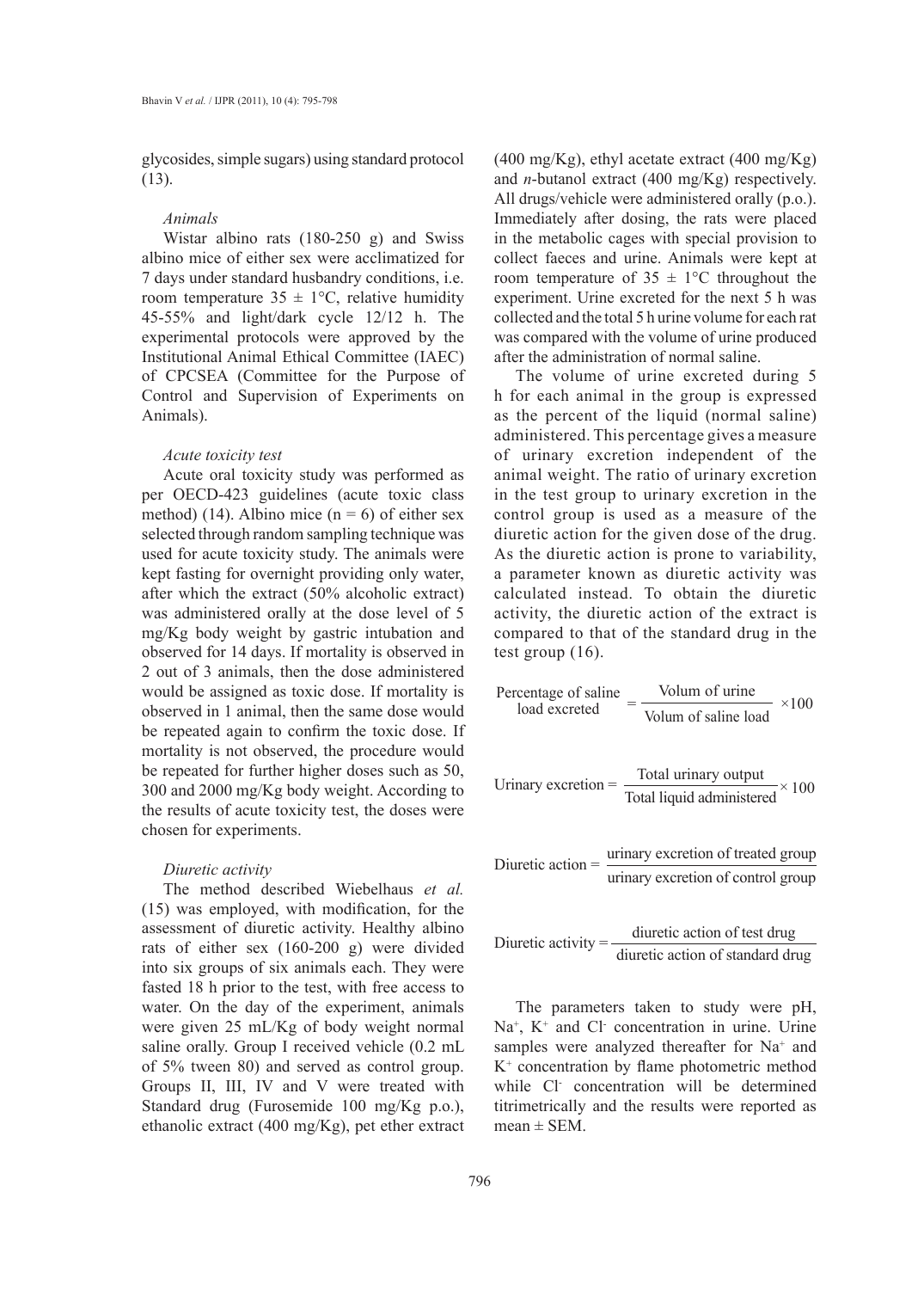glycosides, simple sugars) using standard protocol (13).

## *Animals*

Wistar albino rats (180-250 g) and Swiss albino mice of either sex were acclimatized for 7 days under standard husbandry conditions, i.e. room temperature  $35 \pm 1$ °C, relative humidity 45-55% and light/dark cycle 12/12 h. The experimental protocols were approved by the Institutional Animal Ethical Committee (IAEC) of CPCSEA (Committee for the Purpose of Control and Supervision of Experiments on Animals).

## *Acute toxicity test*

Acute oral toxicity study was performed as per OECD-423 guidelines (acute toxic class method) (14). Albino mice ( $n = 6$ ) of either sex selected through random sampling technique was used for acute toxicity study. The animals were kept fasting for overnight providing only water, after which the extract (50% alcoholic extract) was administered orally at the dose level of 5 mg/Kg body weight by gastric intubation and observed for 14 days. If mortality is observed in 2 out of 3 animals, then the dose administered would be assigned as toxic dose. If mortality is observed in 1 animal, then the same dose would be repeated again to confirm the toxic dose. If mortality is not observed, the procedure would be repeated for further higher doses such as 50, 300 and 2000 mg/Kg body weight. According to the results of acute toxicity test, the doses were chosen for experiments.

## *Diuretic activity*

The method described Wiebelhaus *et al.* (15) was employed, with modification, for the assessment of diuretic activity. Healthy albino rats of either sex (160-200 g) were divided into six groups of six animals each. They were fasted 18 h prior to the test, with free access to water. On the day of the experiment, animals were given 25 mL/Kg of body weight normal saline orally. Group I received vehicle (0.2 mL of 5% tween 80) and served as control group. Groups II, III, IV and V were treated with Standard drug (Furosemide 100 mg/Kg p.o.), ethanolic extract (400 mg/Kg), pet ether extract

 $(400 \text{ mg/Kg})$ , ethyl acetate extract  $(400 \text{ mg/Kg})$ and *n*-butanol extract (400 mg/Kg) respectively. All drugs/vehicle were administered orally (p.o.). Immediately after dosing, the rats were placed in the metabolic cages with special provision to collect faeces and urine. Animals were kept at room temperature of  $35 \pm 1$ °C throughout the experiment. Urine excreted for the next 5 h was collected and the total 5 h urine volume for each rat was compared with the volume of urine produced after the administration of normal saline.

The volume of urine excreted during 5 h for each animal in the group is expressed as the percent of the liquid (normal saline) administered. This percentage gives a measure of urinary excretion independent of the animal weight. The ratio of urinary excretion in the test group to urinary excretion in the control group is used as a measure of the diuretic action for the given dose of the drug. As the diuretic action is prone to variability, a parameter known as diuretic activity was calculated instead. To obtain the diuretic activity, the diuretic action of the extract is compared to that of the standard drug in the test group (16).

Percentage of saline = 
$$
\frac{\text{Volume}}{\text{Volume of saline load}}
$$
 ×100

Urinary excretion =  $\frac{\text{Total urinary output}}{\text{Total liquid administered}} \times 100$ 

Diuretic action  $=$   $\frac{\text{urinary execution of treated group}}{\text{erasing}}$ urinary excretion of control group

Diuretic activity =  $\frac{divetic}{dt}$  action of test drug diuretic action of standard drug

The parameters taken to study were pH, Na<sup>+</sup>, K<sup>+</sup> and Cl<sup>-</sup> concentration in urine. Urine samples were analyzed thereafter for Na<sup>+</sup> and K+ concentration by flame photometric method while Cl- concentration will be determined titrimetrically and the results were reported as  $mean \pm SEM$ .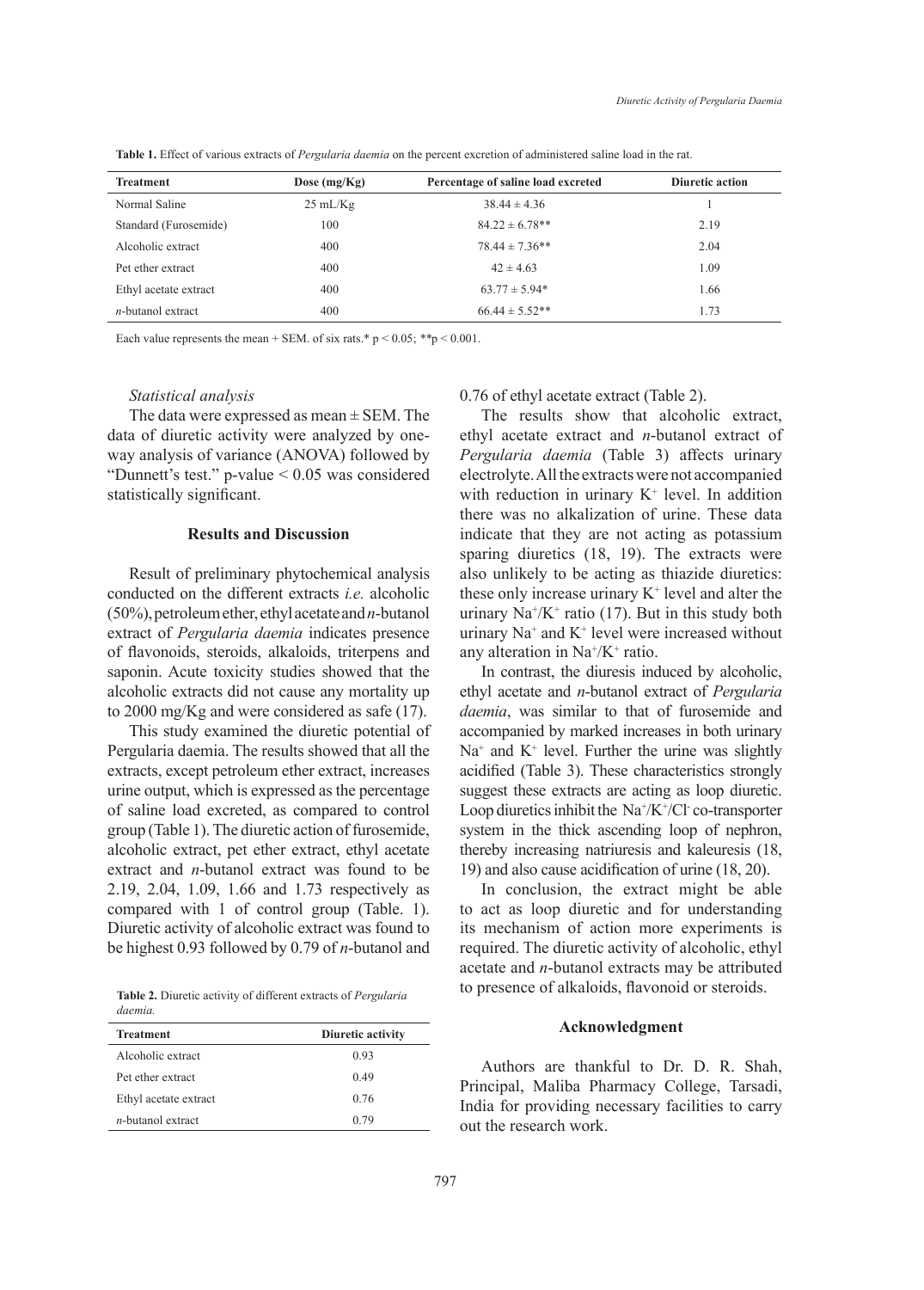| <b>Treatment</b>      | Dose $(mg/Kg)$     | Percentage of saline load excreted | Diuretic action |
|-----------------------|--------------------|------------------------------------|-----------------|
| Normal Saline         | $25 \text{ mL/Kg}$ | $38.44 \pm 4.36$                   |                 |
| Standard (Furosemide) | 100                | $84.22 \pm 6.78**$                 | 2.19            |
| Alcoholic extract     | 400                | $78.44 \pm 7.36**$                 | 2.04            |
| Pet ether extract     | 400                | $42 \pm 4.63$                      | 1.09            |
| Ethyl acetate extract | 400                | $63.77 \pm 5.94*$                  | 1.66            |
| $n$ -butanol extract  | 400                | $66.44 \pm 5.52**$                 | 1.73            |

**Table 1.** Effect of various extracts of *Pergularia daemia* on the percent excretion of administered saline load in the rat.

Each value represents the mean + SEM. of six rats.\* p < 0.05; *\*\**p < 0.001.

#### *Statistical analysis*

The data were expressed as mean  $\pm$  SEM. The data of diuretic activity were analyzed by oneway analysis of variance (ANOVA) followed by "Dunnett's test." p-value < 0.05 was considered statistically significant.

## **Results and Discussion**

Result of preliminary phytochemical analysis conducted on the different extracts *i.e.* alcoholic (50%), petroleum ether, ethyl acetate and *n*-butanol extract of *Pergularia daemia* indicates presence of flavonoids, steroids, alkaloids, triterpens and saponin. Acute toxicity studies showed that the alcoholic extracts did not cause any mortality up to 2000 mg/Kg and were considered as safe (17).

This study examined the diuretic potential of Pergularia daemia. The results showed that all the extracts, except petroleum ether extract, increases urine output, which is expressed as the percentage of saline load excreted, as compared to control group (Table 1). The diuretic action of furosemide, alcoholic extract, pet ether extract, ethyl acetate extract and *n*-butanol extract was found to be 2.19, 2.04, 1.09, 1.66 and 1.73 respectively as compared with 1 of control group (Table. 1). Diuretic activity of alcoholic extract was found to be highest 0.93 followed by 0.79 of *n*-butanol and

**Table 2.** Diuretic activity of different extracts of *Pergularia daemia.*

| <b>Treatment</b>      | Diuretic activity |  |  |
|-----------------------|-------------------|--|--|
| Alcoholic extract     | 0.93              |  |  |
| Pet ether extract     | 0.49              |  |  |
| Ethyl acetate extract | 0.76              |  |  |
| $n$ -hutanol extract  | 0.79              |  |  |

0.76 of ethyl acetate extract (Table 2).

The results show that alcoholic extract, ethyl acetate extract and *n*-butanol extract of *Pergularia daemia* (Table 3) affects urinary electrolyte. All the extracts were not accompanied with reduction in urinary  $K^+$  level. In addition there was no alkalization of urine. These data indicate that they are not acting as potassium sparing diuretics (18, 19). The extracts were also unlikely to be acting as thiazide diuretics: these only increase urinary  $K^+$  level and alter the urinary  $\text{Na}^{\text{*}}/\text{K}^{\text{+}}$  ratio (17). But in this study both urinary  $Na<sup>+</sup>$  and  $K<sup>+</sup>$  level were increased without any alteration in  $Na^+/K^+$  ratio.

In contrast, the diuresis induced by alcoholic, ethyl acetate and *n*-butanol extract of *Pergularia daemia*, was similar to that of furosemide and accompanied by marked increases in both urinary  $Na<sup>+</sup>$  and  $K<sup>+</sup>$  level. Further the urine was slightly acidified (Table 3). These characteristics strongly suggest these extracts are acting as loop diuretic. Loop diuretics inhibit the  $\text{Na}^{\text{+}}/\text{K}^{\text{+}}/\text{Cl}$  co-transporter system in the thick ascending loop of nephron, thereby increasing natriuresis and kaleuresis (18, 19) and also cause acidification of urine (18, 20).

In conclusion, the extract might be able to act as loop diuretic and for understanding its mechanism of action more experiments is required. The diuretic activity of alcoholic, ethyl acetate and *n*-butanol extracts may be attributed to presence of alkaloids, flavonoid or steroids.

## **Acknowledgment**

Authors are thankful to Dr. D. R. Shah, Principal, Maliba Pharmacy College, Tarsadi, India for providing necessary facilities to carry out the research work.